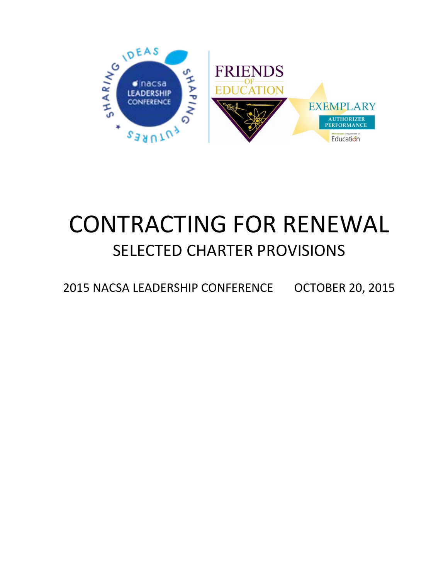

## CONTRACTING FOR RENEWAL SELECTED CHARTER PROVISIONS

2015 NACSA LEADERSHIP CONFERENCE OCTOBER 20, 2015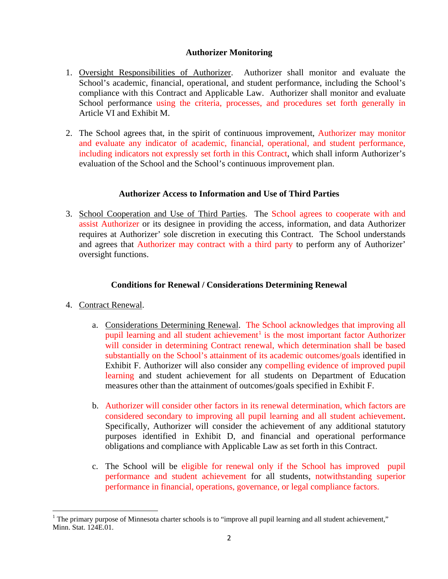## **Authorizer Monitoring**

- 1. Oversight Responsibilities of Authorizer. Authorizer shall monitor and evaluate the School's academic, financial, operational, and student performance, including the School's compliance with this Contract and Applicable Law. Authorizer shall monitor and evaluate School performance using the criteria, processes, and procedures set forth generally in Article VI and Exhibit M.
- 2. The School agrees that, in the spirit of continuous improvement, Authorizer may monitor and evaluate any indicator of academic, financial, operational, and student performance, including indicators not expressly set forth in this Contract, which shall inform Authorizer's evaluation of the School and the School's continuous improvement plan.

## **Authorizer Access to Information and Use of Third Parties**

3. School Cooperation and Use of Third Parties. The School agrees to cooperate with and assist Authorizer or its designee in providing the access, information, and data Authorizer requires at Authorizer' sole discretion in executing this Contract. The School understands and agrees that Authorizer may contract with a third party to perform any of Authorizer' oversight functions.

## **Conditions for Renewal / Considerations Determining Renewal**

- 4. Contract Renewal.
	- a. Considerations Determining Renewal. The School acknowledges that improving all pupil learning and all student achievement<sup>[1](#page-1-0)</sup> is the most important factor Authorizer will consider in determining Contract renewal, which determination shall be based substantially on the School's attainment of its academic outcomes/goals identified in Exhibit F. Authorizer will also consider any compelling evidence of improved pupil learning and student achievement for all students on Department of Education measures other than the attainment of outcomes/goals specified in Exhibit F.
	- b. Authorizer will consider other factors in its renewal determination, which factors are considered secondary to improving all pupil learning and all student achievement. Specifically, Authorizer will consider the achievement of any additional statutory purposes identified in Exhibit D, and financial and operational performance obligations and compliance with Applicable Law as set forth in this Contract.
	- c. The School will be eligible for renewal only if the School has improved pupil performance and student achievement for all students, notwithstanding superior performance in financial, operations, governance, or legal compliance factors.

<span id="page-1-0"></span> $\overline{a}$  $1$  The primary purpose of Minnesota charter schools is to "improve all pupil learning and all student achievement," Minn. Stat. 124E.01.